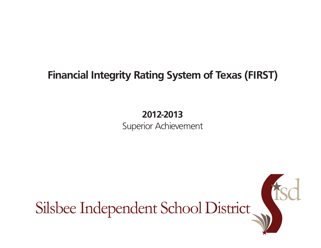# **Financial Integrity Rating System of Texas (FIRST)**

## **2012-2013** Superior Achievement

Silsbee Independent School District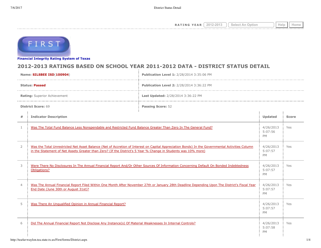**RATING YEAR**  $\boxed{2012-2013}$   $\boxed{\text{Select An Option}}$  Help  $\boxed{\text{Help}}$ 



**[Financial Integrity Rating Syste](http://tea4avwaylon.tea.state.tx.us/First/forms/main.aspx)m of Texas**

### **2012-2013 RATINGS BASED ON SCHOOL YEAR 2011-2012 DATA - DISTRICT STATUS DETAIL**

| Name: SILSBEE ISD(100904)                                                                                                                                                                                                                                                           |                                                                                                                                                                                       | Publication Level 1: 2/28/2014 3:35:06 PM |                                   |              |  |
|-------------------------------------------------------------------------------------------------------------------------------------------------------------------------------------------------------------------------------------------------------------------------------------|---------------------------------------------------------------------------------------------------------------------------------------------------------------------------------------|-------------------------------------------|-----------------------------------|--------------|--|
| <b>Status: Passed</b>                                                                                                                                                                                                                                                               |                                                                                                                                                                                       | Publication Level 2: 2/28/2014 3:36:22 PM |                                   |              |  |
|                                                                                                                                                                                                                                                                                     | Rating: Superior Achievement                                                                                                                                                          | Last Updated: 2/28/2014 3:36:22 PM        |                                   |              |  |
|                                                                                                                                                                                                                                                                                     | <b>District Score: 69</b>                                                                                                                                                             | <b>Passing Score: 52</b>                  |                                   |              |  |
| #                                                                                                                                                                                                                                                                                   | <b>Indicator Description</b>                                                                                                                                                          |                                           | Updated                           | <b>Score</b> |  |
| 1                                                                                                                                                                                                                                                                                   | Was The Total Fund Balance Less Nonspendable and Restricted Fund Balance Greater Than Zero In The General Fund?                                                                       |                                           | 4/26/2013<br>5:07:56<br><b>PM</b> | Yes          |  |
| $\overline{2}$<br>Was the Total Unrestricted Net Asset Balance (Net of Accretion of Interest on Capital Appreciation Bonds) In the Governmental Activities Column<br>in the Statement of Net Assets Greater than Zero? (If the District's 5 Year % Change in Students was 10% more) |                                                                                                                                                                                       | 4/26/2013<br>5:07:57<br><b>PM</b>         | Yes                               |              |  |
| 3                                                                                                                                                                                                                                                                                   | Were There No Disclosures In The Annual Financial Report And/Or Other Sources Of Information Concerning Default On Bonded Indebtedness<br>Obligations?                                |                                           | 4/26/2013<br>5:07:57<br><b>PM</b> | Yes          |  |
| $\overline{4}$                                                                                                                                                                                                                                                                      | Was The Annual Financial Report Filed Within One Month After November 27th or January 28th Deadline Depending Upon The District's Fiscal Year<br>End Date (June 30th or August 31st)? |                                           | 4/26/2013<br>5:07:57<br><b>PM</b> | Yes          |  |
| 5                                                                                                                                                                                                                                                                                   | Was There An Ungualified Opinion in Annual Financial Report?                                                                                                                          |                                           |                                   | Yes          |  |
| 6                                                                                                                                                                                                                                                                                   | Did The Annual Financial Report Not Disclose Any Instance(s) Of Material Weaknesses In Internal Controls?                                                                             |                                           |                                   | Yes          |  |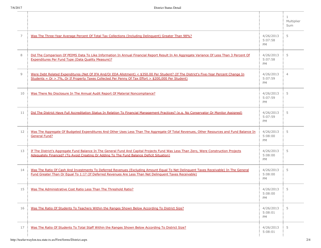|    |                                                                                                                                                                                                                                                  |                                   | $\mathbf{1}$<br>Multiplier<br>Sum |
|----|--------------------------------------------------------------------------------------------------------------------------------------------------------------------------------------------------------------------------------------------------|-----------------------------------|-----------------------------------|
| 7  | Was The Three-Year Average Percent Of Total Tax Collections (Including Delinguent) Greater Than 98%?                                                                                                                                             | 4/26/2013<br>5:07:58<br><b>PM</b> | 5                                 |
| 8  | Did The Comparison Of PEIMS Data To Like Information In Annual Financial Report Result In An Aggregate Variance Of Less Than 3 Percent Of<br><b>Expenditures Per Fund Type (Data Quality Measure)?</b>                                           | 4/26/2013<br>5:07:58<br>PM        | 5                                 |
| 9  | Were Debt Related Expenditures (Net Of IFA And/Or EDA Allotment) < \$350.00 Per Student? (If The District's Five-Year Percent Change In<br>Students = Or > 7%, Or If Property Taxes Collected Per Penny Of Tax Effort > \$200,000 Per Student)   | 4/26/2013<br>5:07:59<br><b>PM</b> | $\overline{4}$                    |
| 10 | Was There No Disclosure In The Annual Audit Report Of Material Noncompliance?                                                                                                                                                                    | 4/26/2013<br>5:07:59<br>PM        | 5                                 |
| 11 | Did The District Have Full Accreditation Status In Relation To Financial Management Practices? (e.g. No Conservator Or Monitor Assigned)                                                                                                         | 4/26/2013<br>5:07:59<br>PM        | 5                                 |
| 12 | Was The Aggregate Of Budgeted Expenditures And Other Uses Less Than The Aggregate Of Total Revenues, Other Resources and Fund Balance In<br><b>General Fund?</b>                                                                                 | 4/26/2013<br>5:08:00<br>PM        | 5                                 |
| 13 | If The District's Aggregate Fund Balance In The General Fund And Capital Projects Fund Was Less Than Zero, Were Construction Projects<br>Adequately Financed? (To Avoid Creating Or Adding To The Fund Balance Deficit Situation)                | 4/26/2013<br>5:08:00<br><b>PM</b> | 5                                 |
| 14 | Was The Ratio Of Cash And Investments To Deferred Revenues (Excluding Amount Equal To Net Delinguent Taxes Receivable) In The General<br>Fund Greater Than Or Equal To 1:1? (If Deferred Revenues Are Less Than Net Delinquent Taxes Receivable) | 4/26/2013<br>5:08:00<br><b>PM</b> | 5                                 |
| 15 | Was The Administrative Cost Ratio Less Than The Threshold Ratio?                                                                                                                                                                                 | 4/26/2013<br>5:08:00<br>PM        | 5                                 |
| 16 | Was The Ratio Of Students To Teachers Within the Ranges Shown Below According To District Size?                                                                                                                                                  | 4/26/2013<br>5:08:01<br>PM        | 5                                 |
| 17 | Was The Ratio Of Students To Total Staff Within the Ranges Shown Below According To District Size?                                                                                                                                               | 4/26/2013<br>5:08:01              | 5                                 |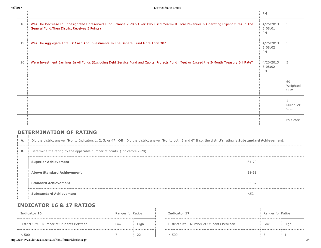|    |                                                                                                                                                                                                  | PM                                |                       |
|----|--------------------------------------------------------------------------------------------------------------------------------------------------------------------------------------------------|-----------------------------------|-----------------------|
| 18 | Was The Decrease In Undesignated Unreserved Fund Balance < 20% Over Two Fiscal Years?(If Total Revenues > Operating Expenditures In The<br><b>General Fund, Then District Receives 5 Points)</b> | 4/26/2013<br>5:08:01<br>PM        | 5                     |
| 19 | Was The Aggregate Total Of Cash And Investments In The General Fund More Than \$0?                                                                                                               | 4/26/2013<br>5:08:02<br><b>PM</b> | 5                     |
| 20 | Were Investment Earnings In All Funds (Excluding Debt Service Fund and Capital Projects Fund) Meet or Exceed the 3-Month Treasury Bill Rate?                                                     | 4/26/2013<br>5:08:02<br>PM        | 5                     |
|    |                                                                                                                                                                                                  |                                   | 69<br>Weighted<br>Sum |
|    |                                                                                                                                                                                                  |                                   | Multiplier<br>Sum     |
|    |                                                                                                                                                                                                  |                                   | 69 Score              |

### **DETERMINATION OF RATING**

| А.        | Did the district answer 'No' to Indicators 1, 2, 3, or 4? OR Did the district answer 'No' to both 5 and 6? If so, the district's rating is Substandard Achievement. |       |  |  |  |
|-----------|---------------------------------------------------------------------------------------------------------------------------------------------------------------------|-------|--|--|--|
| <b>B.</b> | Determine the rating by the applicable number of points. (Indicators 7-20)                                                                                          |       |  |  |  |
|           | <b>Superior Achievement</b>                                                                                                                                         | 64-70 |  |  |  |
|           | <b>Above Standard Achievement</b>                                                                                                                                   | 58-63 |  |  |  |
|           | <b>Standard Achievement</b>                                                                                                                                         | 52-57 |  |  |  |
|           | <b>Substandard Achievement</b>                                                                                                                                      | < 52  |  |  |  |

### **INDICATOR 16 & 17 RATIOS**

| Indicator 16                               | Ranges for Ratios |      |  | Indicator 17                               | Ranges for Ratios |      |
|--------------------------------------------|-------------------|------|--|--------------------------------------------|-------------------|------|
| District Size - Number of Students Between | Low               | High |  | District Size - Number of Students Between | Low               | High |
|                                            |                   |      |  | 500                                        |                   |      |

| Indicator 17                               | Ranges for Ratios |      |
|--------------------------------------------|-------------------|------|
| District Size - Number of Students Between | 10W               | High |
| < 500                                      |                   | 14   |

http://tea4avwaylon.tea.state.tx.us/First/forms/District.aspx 3/4